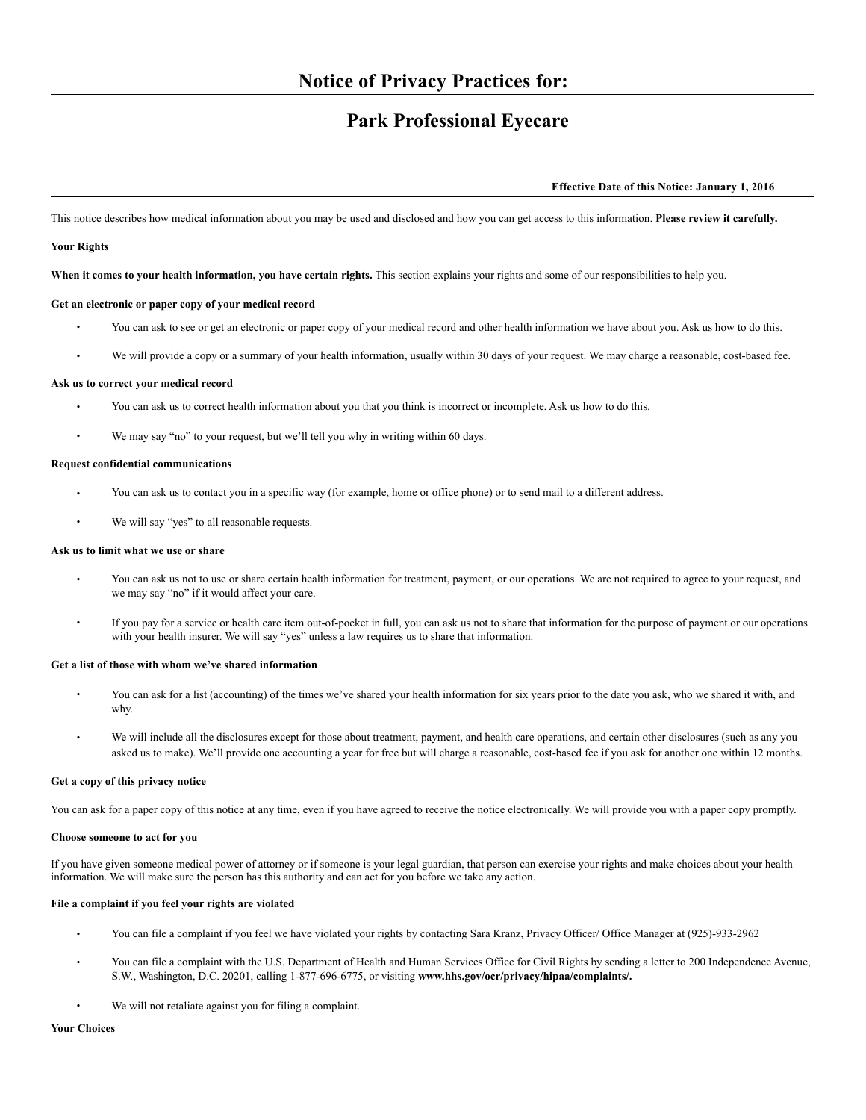# **Park Professional Eyecare**

# **Effective Date of this Notice: January 1, 2016**

This notice describes how medical information about you may be used and disclosed and how you can get access to this information. **Please review it carefully.** 

# **Your Rights**

**When it comes to your health information, you have certain rights.** This section explains your rights and some of our responsibilities to help you.

#### **Get an electronic or paper copy of your medical record**

- You can ask to see or get an electronic or paper copy of your medical record and other health information we have about you. Ask us how to do this.
- We will provide a copy or a summary of your health information, usually within 30 days of your request. We may charge a reasonable, cost-based fee.

#### **Ask us to correct your medical record**

- You can ask us to correct health information about you that you think is incorrect or incomplete. Ask us how to do this.
- We may say "no" to your request, but we'll tell you why in writing within 60 days.

# **Request confidential communications**

- You can ask us to contact you in a specific way (for example, home or office phone) or to send mail to a different address.
- We will say "yes" to all reasonable requests.

## **Ask us to limit what we use or share**

- You can ask us not to use or share certain health information for treatment, payment, or our operations. We are not required to agree to your request, and we may say "no" if it would affect your care.
- If you pay for a service or health care item out-of-pocket in full, you can ask us not to share that information for the purpose of payment or our operations with your health insurer. We will say "yes" unless a law requires us to share that information.

## **Get a list of those with whom we've shared information**

- You can ask for a list (accounting) of the times we've shared your health information for six years prior to the date you ask, who we shared it with, and why.
- We will include all the disclosures except for those about treatment, payment, and health care operations, and certain other disclosures (such as any you asked us to make). We'll provide one accounting a year for free but will charge a reasonable, cost-based fee if you ask for another one within 12 months.

#### **Get a copy of this privacy notice**

You can ask for a paper copy of this notice at any time, even if you have agreed to receive the notice electronically. We will provide you with a paper copy promptly.

# **Choose someone to act for you**

If you have given someone medical power of attorney or if someone is your legal guardian, that person can exercise your rights and make choices about your health information. We will make sure the person has this authority and can act for you before we take any action.

# **File a complaint if you feel your rights are violated**

- You can file a complaint if you feel we have violated your rights by contacting Sara Kranz, Privacy Officer/ Office Manager at (925)-933-2962
- You can file a complaint with the U.S. Department of Health and Human Services Office for Civil Rights by sending a letter to 200 Independence Avenue, S.W., Washington, D.C. 20201, calling 1-877-696-6775, or visiting **www.hhs.gov/ocr/privacy/hipaa/complaints/.**
- We will not retaliate against you for filing a complaint.

**Your Choices**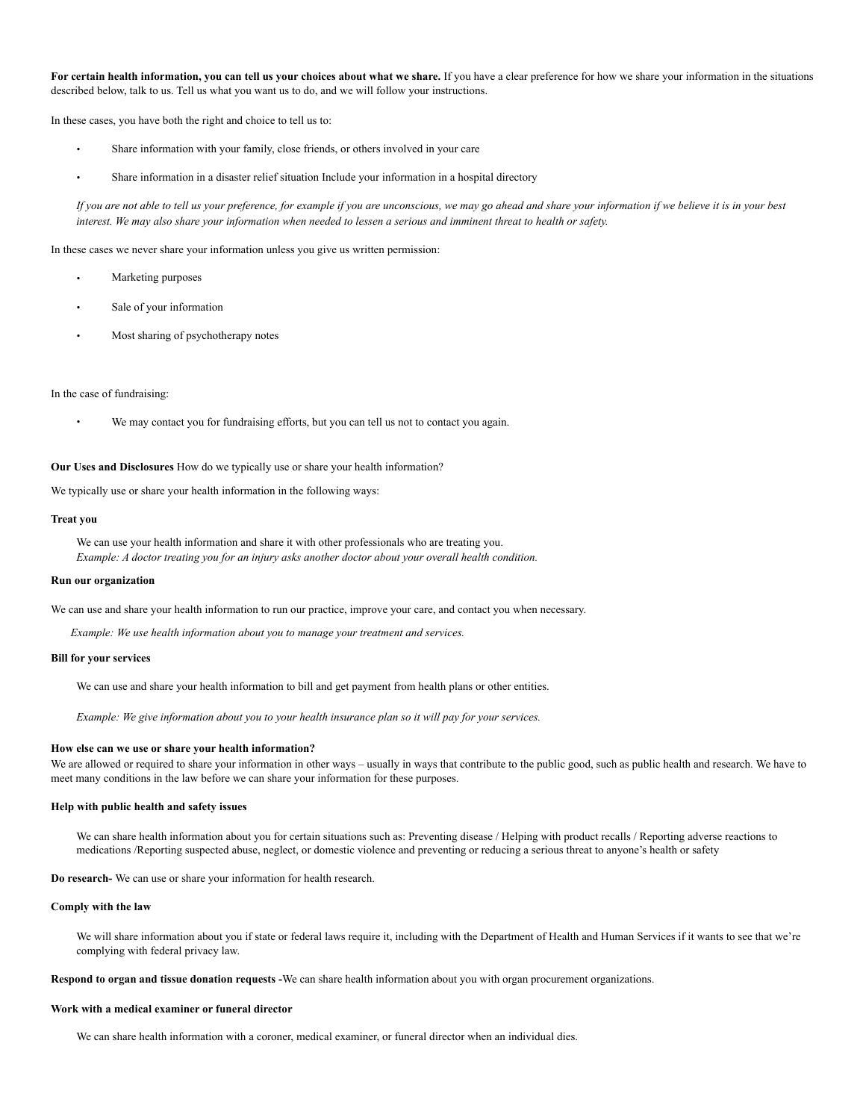For certain health information, you can tell us your choices about what we share. If you have a clear preference for how we share your information in the situations described below, talk to us. Tell us what you want us to do, and we will follow your instructions.

In these cases, you have both the right and choice to tell us to:

- Share information with your family, close friends, or others involved in your care
- Share information in a disaster relief situation Include your information in a hospital directory

*If you are not able to tell us your preference, for example if you are unconscious, we may go ahead and share your information if we believe it is in your best interest. We may also share your information when needed to lessen a serious and imminent threat to health or safety.*

In these cases we never share your information unless you give us written permission:

- Marketing purposes
- Sale of your information
- Most sharing of psychotherapy notes

## In the case of fundraising:

We may contact you for fundraising efforts, but you can tell us not to contact you again.

**Our Uses and Disclosures** How do we typically use or share your health information?

We typically use or share your health information in the following ways:

# **Treat you**

We can use your health information and share it with other professionals who are treating you. *Example: A doctor treating you for an injury asks another doctor about your overall health condition.*

# **Run our organization**

We can use and share your health information to run our practice, improve your care, and contact you when necessary.

*Example: We use health information about you to manage your treatment and services.* 

#### **Bill for your services**

We can use and share your health information to bill and get payment from health plans or other entities.

*Example: We give information about you to your health insurance plan so it will pay for your services.* 

#### **How else can we use or share your health information?**

We are allowed or required to share your information in other ways – usually in ways that contribute to the public good, such as public health and research. We have to meet many conditions in the law before we can share your information for these purposes.

# **Help with public health and safety issues**

We can share health information about you for certain situations such as: Preventing disease / Helping with product recalls / Reporting adverse reactions to medications /Reporting suspected abuse, neglect, or domestic violence and preventing or reducing a serious threat to anyone's health or safety

**Do research-** We can use or share your information for health research.

# **Comply with the law**

We will share information about you if state or federal laws require it, including with the Department of Health and Human Services if it wants to see that we're complying with federal privacy law.

**Respond to organ and tissue donation requests -**We can share health information about you with organ procurement organizations.

#### **Work with a medical examiner or funeral director**

We can share health information with a coroner, medical examiner, or funeral director when an individual dies.